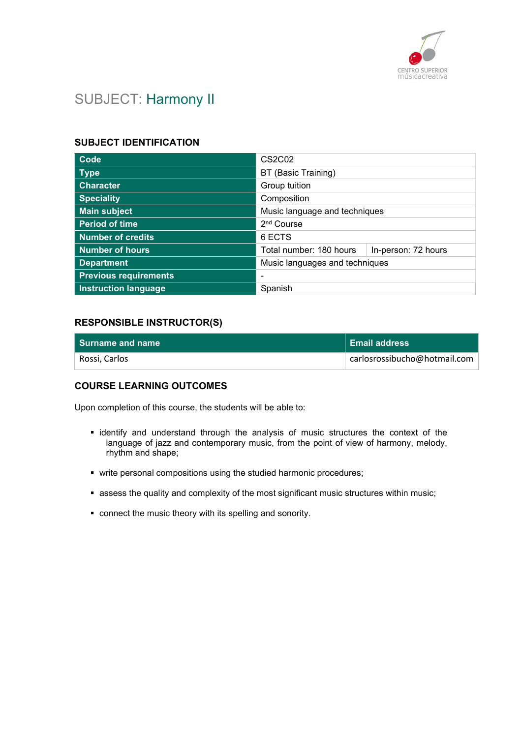

# SUBJECT: Harmony II

# SUBJECT IDENTIFICATION

| Code                         | <b>CS2C02</b>                  |                     |
|------------------------------|--------------------------------|---------------------|
| <b>Type</b>                  | BT (Basic Training)            |                     |
| <b>Character</b>             | Group tuition                  |                     |
| <b>Speciality</b>            | Composition                    |                     |
| <b>Main subject</b>          | Music language and techniques  |                     |
| <b>Period of time</b>        | 2 <sup>nd</sup> Course         |                     |
| <b>Number of credits</b>     | 6 ECTS                         |                     |
| <b>Number of hours</b>       | Total number: 180 hours        | In-person: 72 hours |
| <b>Department</b>            | Music languages and techniques |                     |
| <b>Previous requirements</b> |                                |                     |
| <b>Instruction language</b>  | Spanish                        |                     |

## RESPONSIBLE INSTRUCTOR(S)

| l Surname and name | ∣ Email address              |
|--------------------|------------------------------|
| Rossi, Carlos      | carlosrossibucho@hotmail.com |

### COURSE LEARNING OUTCOMES

Upon completion of this course, the students will be able to:

- identify and understand through the analysis of music structures the context of the language of jazz and contemporary music, from the point of view of harmony, melody, rhythm and shape;
- write personal compositions using the studied harmonic procedures;
- assess the quality and complexity of the most significant music structures within music;
- connect the music theory with its spelling and sonority.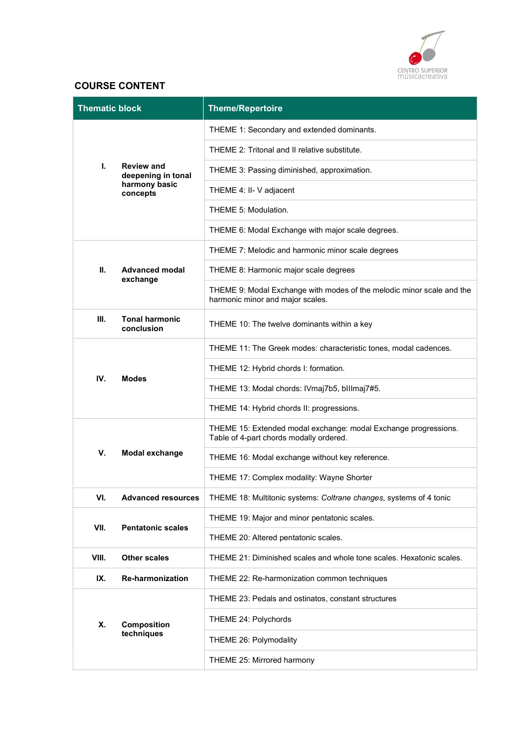

# COURSE CONTENT

| <b>Thematic block</b> |                                               | <b>Theme/Repertoire</b>                                                                                    |
|-----------------------|-----------------------------------------------|------------------------------------------------------------------------------------------------------------|
|                       | THEME 1: Secondary and extended dominants.    |                                                                                                            |
|                       | THEME 2: Tritonal and II relative substitute. |                                                                                                            |
| Ι.                    | <b>Review and</b><br>deepening in tonal       | THEME 3: Passing diminished, approximation.                                                                |
|                       | harmony basic<br>concepts                     | THEME 4: II- V adjacent                                                                                    |
|                       |                                               | THEME 5: Modulation.                                                                                       |
|                       |                                               | THEME 6: Modal Exchange with major scale degrees.                                                          |
|                       |                                               | THEME 7: Melodic and harmonic minor scale degrees                                                          |
| П.                    | <b>Advanced modal</b><br>exchange             | THEME 8: Harmonic major scale degrees                                                                      |
|                       |                                               | THEME 9: Modal Exchange with modes of the melodic minor scale and the<br>harmonic minor and major scales.  |
| Ш.                    | <b>Tonal harmonic</b><br>conclusion           | THEME 10: The twelve dominants within a key                                                                |
|                       |                                               | THEME 11: The Greek modes: characteristic tones, modal cadences.                                           |
| IV.                   | <b>Modes</b>                                  | THEME 12: Hybrid chords I: formation.                                                                      |
|                       | THEME 13: Modal chords: IVmaj7b5, billmaj7#5. |                                                                                                            |
|                       |                                               | THEME 14: Hybrid chords II: progressions.                                                                  |
|                       |                                               | THEME 15: Extended modal exchange: modal Exchange progressions.<br>Table of 4-part chords modally ordered. |
| V.                    | <b>Modal exchange</b>                         | THEME 16: Modal exchange without key reference.                                                            |
|                       |                                               | THEME 17: Complex modality: Wayne Shorter                                                                  |
| VI.                   | <b>Advanced resources</b>                     | THEME 18: Multitonic systems: Coltrane changes, systems of 4 tonic                                         |
| VII.                  | <b>Pentatonic scales</b>                      | THEME 19: Major and minor pentatonic scales.                                                               |
|                       | THEME 20: Altered pentatonic scales.          |                                                                                                            |
| VIII.                 | <b>Other scales</b>                           | THEME 21: Diminished scales and whole tone scales. Hexatonic scales.                                       |
| IX.                   | <b>Re-harmonization</b>                       | THEME 22: Re-harmonization common techniques                                                               |
|                       |                                               | THEME 23: Pedals and ostinatos, constant structures                                                        |
| Х.                    | Composition                                   | THEME 24: Polychords                                                                                       |
|                       | techniques                                    | THEME 26: Polymodality                                                                                     |
|                       |                                               | THEME 25: Mirrored harmony                                                                                 |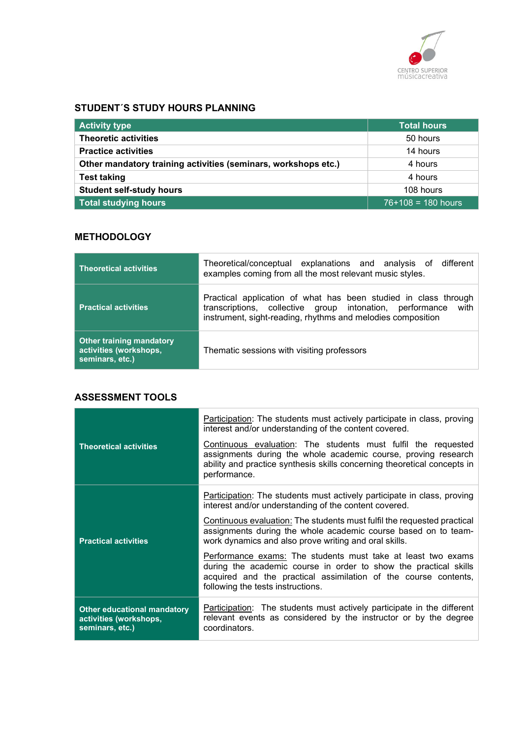

# STUDENT´S STUDY HOURS PLANNING

| <b>Activity type</b>                                           | <b>Total hours</b>   |
|----------------------------------------------------------------|----------------------|
| <b>Theoretic activities</b>                                    | 50 hours             |
| <b>Practice activities</b>                                     | 14 hours             |
| Other mandatory training activities (seminars, workshops etc.) | 4 hours              |
| <b>Test taking</b>                                             | 4 hours              |
| <b>Student self-study hours</b>                                | 108 hours            |
| Total studying hours                                           | $76+108 = 180$ hours |

# **METHODOLOGY**

| <b>Theoretical activities</b>                                                | Theoretical/conceptual explanations and analysis of different<br>examples coming from all the most relevant music styles.                                                                       |
|------------------------------------------------------------------------------|-------------------------------------------------------------------------------------------------------------------------------------------------------------------------------------------------|
| <b>Practical activities</b>                                                  | Practical application of what has been studied in class through<br>transcriptions, collective group intonation, performance with<br>instrument, sight-reading, rhythms and melodies composition |
| <b>Other training mandatory</b><br>activities (workshops,<br>seminars, etc.) | Thematic sessions with visiting professors                                                                                                                                                      |

### ASSESSMENT TOOLS

|                                                                          | Participation: The students must actively participate in class, proving<br>interest and/or understanding of the content covered.                                                                                                         |
|--------------------------------------------------------------------------|------------------------------------------------------------------------------------------------------------------------------------------------------------------------------------------------------------------------------------------|
| <b>Theoretical activities</b>                                            | Continuous evaluation: The students must fulfil the requested<br>assignments during the whole academic course, proving research<br>ability and practice synthesis skills concerning theoretical concepts in<br>performance.              |
|                                                                          | Participation: The students must actively participate in class, proving<br>interest and/or understanding of the content covered.                                                                                                         |
| <b>Practical activities</b>                                              | Continuous evaluation: The students must fulfil the requested practical<br>assignments during the whole academic course based on to team-<br>work dynamics and also prove writing and oral skills.                                       |
|                                                                          | Performance exams: The students must take at least two exams<br>during the academic course in order to show the practical skills<br>acquired and the practical assimilation of the course contents,<br>following the tests instructions. |
| Other educational mandatory<br>activities (workshops,<br>seminars, etc.) | <b>Participation:</b> The students must actively participate in the different<br>relevant events as considered by the instructor or by the degree<br>coordinators.                                                                       |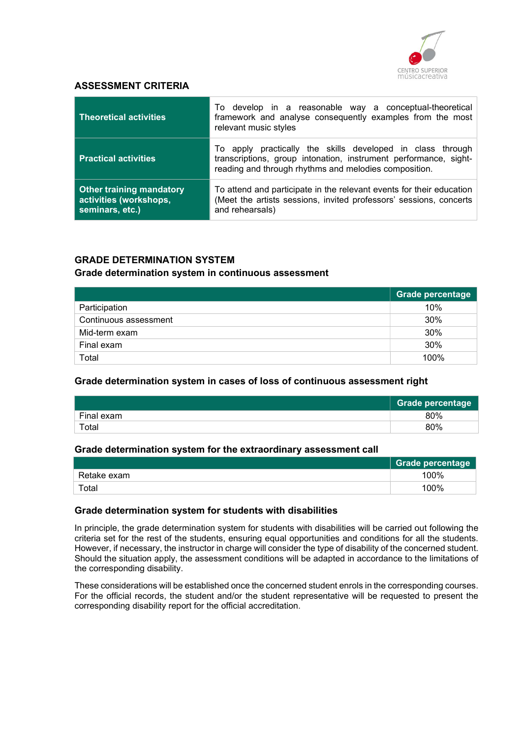

### ASSESSMENT CRITERIA

| <b>Theoretical activities</b>                                                | To develop in a reasonable way a conceptual-theoretical<br>framework and analyse consequently examples from the most<br>relevant music styles                                           |
|------------------------------------------------------------------------------|-----------------------------------------------------------------------------------------------------------------------------------------------------------------------------------------|
| <b>Practical activities</b>                                                  | To apply practically the skills developed in class through<br>transcriptions, group intonation, instrument performance, sight-<br>reading and through rhythms and melodies composition. |
| <b>Other training mandatory</b><br>activities (workshops,<br>seminars, etc.) | To attend and participate in the relevant events for their education<br>(Meet the artists sessions, invited professors' sessions, concerts<br>and rehearsals)                           |

### GRADE DETERMINATION SYSTEM

#### Grade determination system in continuous assessment

|                       | Grade percentage |
|-----------------------|------------------|
| Participation         | 10%              |
| Continuous assessment | 30%              |
| Mid-term exam         | 30%              |
| Final exam            | 30%              |
| Total                 | 100%             |

#### Grade determination system in cases of loss of continuous assessment right

|            | <b>Grade percentage</b> |
|------------|-------------------------|
| Final exam | 80%                     |
| Total      | 80%                     |

#### Grade determination system for the extraordinary assessment call

|             | <b>Grade percentage</b> |
|-------------|-------------------------|
| Retake exam | 100%                    |
| Total       | 100%                    |

#### Grade determination system for students with disabilities

In principle, the grade determination system for students with disabilities will be carried out following the criteria set for the rest of the students, ensuring equal opportunities and conditions for all the students. However, if necessary, the instructor in charge will consider the type of disability of the concerned student. Should the situation apply, the assessment conditions will be adapted in accordance to the limitations of the corresponding disability.

These considerations will be established once the concerned student enrols in the corresponding courses. For the official records, the student and/or the student representative will be requested to present the corresponding disability report for the official accreditation.